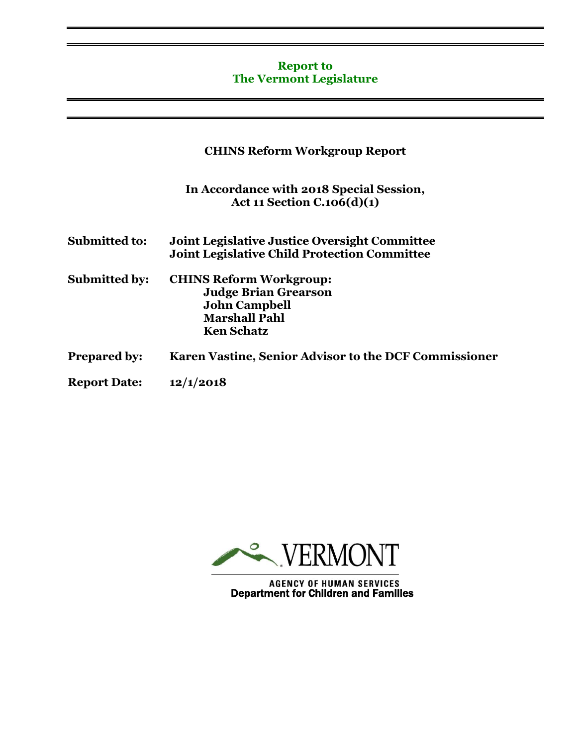### **Report to The Vermont Legislature**

|                      | <b>CHINS Reform Workgroup Report</b>                                                                                               |
|----------------------|------------------------------------------------------------------------------------------------------------------------------------|
|                      | In Accordance with 2018 Special Session,<br><b>Act 11 Section C.106(d)(1)</b>                                                      |
| <b>Submitted to:</b> | <b>Joint Legislative Justice Oversight Committee</b><br><b>Joint Legislative Child Protection Committee</b>                        |
| <b>Submitted by:</b> | <b>CHINS Reform Workgroup:</b><br><b>Judge Brian Grearson</b><br><b>John Campbell</b><br><b>Marshall Pahl</b><br><b>Ken Schatz</b> |
| <b>Prepared by:</b>  | Karen Vastine, Senior Advisor to the DCF Commissioner                                                                              |
| <b>Report Date:</b>  | 12/1/2018                                                                                                                          |



**AGENCY OF HUMAN SERVICES**<br>Department for Children and Families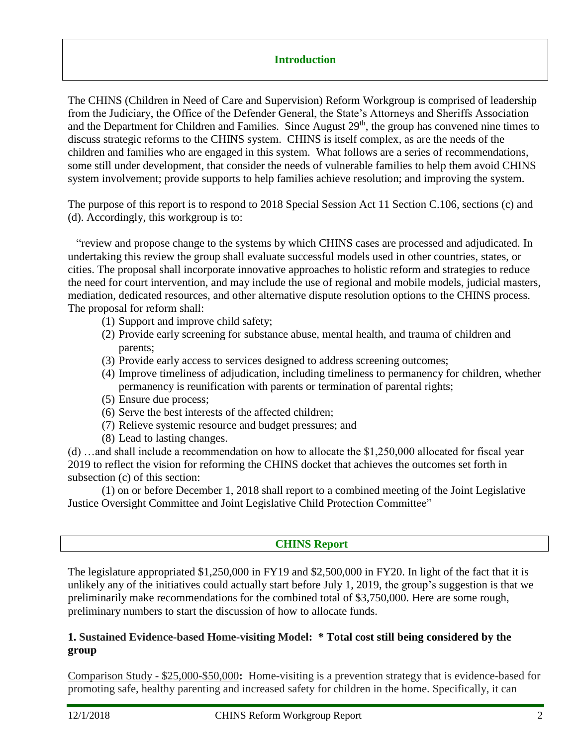### **Introduction**

The CHINS (Children in Need of Care and Supervision) Reform Workgroup is comprised of leadership from the Judiciary, the Office of the Defender General, the State's Attorneys and Sheriffs Association and the Department for Children and Families. Since August 29<sup>th</sup>, the group has convened nine times to discuss strategic reforms to the CHINS system. CHINS is itself complex, as are the needs of the children and families who are engaged in this system. What follows are a series of recommendations, some still under development, that consider the needs of vulnerable families to help them avoid CHINS system involvement; provide supports to help families achieve resolution; and improving the system.

The purpose of this report is to respond to 2018 Special Session Act 11 Section C.106, sections (c) and (d). Accordingly, this workgroup is to:

"review and propose change to the systems by which CHINS cases are processed and adjudicated. In undertaking this review the group shall evaluate successful models used in other countries, states, or cities. The proposal shall incorporate innovative approaches to holistic reform and strategies to reduce the need for court intervention, and may include the use of regional and mobile models, judicial masters, mediation, dedicated resources, and other alternative dispute resolution options to the CHINS process. The proposal for reform shall:

- (1) Support and improve child safety;
- (2) Provide early screening for substance abuse, mental health, and trauma of children and parents;
- (3) Provide early access to services designed to address screening outcomes;
- (4) Improve timeliness of adjudication, including timeliness to permanency for children, whether permanency is reunification with parents or termination of parental rights;
- (5) Ensure due process;
- (6) Serve the best interests of the affected children;
- (7) Relieve systemic resource and budget pressures; and
- (8) Lead to lasting changes.

(d) …and shall include a recommendation on how to allocate the \$1,250,000 allocated for fiscal year 2019 to reflect the vision for reforming the CHINS docket that achieves the outcomes set forth in subsection (c) of this section:

(1) on or before December 1, 2018 shall report to a combined meeting of the Joint Legislative Justice Oversight Committee and Joint Legislative Child Protection Committee"

# **CHINS Report**

The legislature appropriated \$1,250,000 in FY19 and \$2,500,000 in FY20. In light of the fact that it is unlikely any of the initiatives could actually start before July 1, 2019, the group's suggestion is that we preliminarily make recommendations for the combined total of \$3,750,000. Here are some rough, preliminary numbers to start the discussion of how to allocate funds.

#### **1. Sustained Evidence-based Home-visiting Model: \* Total cost still being considered by the group**

Comparison Study - \$25,000-\$50,000**:** Home-visiting is a prevention strategy that is evidence-based for promoting safe, healthy parenting and increased safety for children in the home. Specifically, it can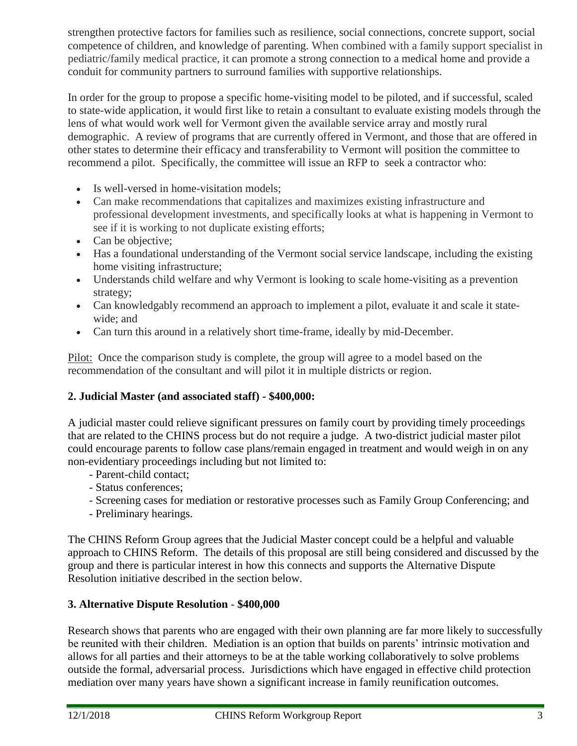strengthen protective factors for families such as resilience, social connections, concrete support, social competence of children, and knowledge of parenting. When combined with a family support specialist in pediatric/family medical practice, it can promote a strong connection to a medical home and provide a conduit for community partners to surround families with supportive relationships.

In order for the group to propose a specific home-visiting model to be piloted, and if successful, scaled to state-wide application, it would first like to retain a consultant to evaluate existing models through the lens of what would work well for Vermont given the available service array and mostly rural demographic. A review of programs that are currently offered in Vermont, and those that are offered in other states to determine their efficacy and transferability to Vermont will position the committee to recommend a pilot. Specifically, the committee will issue an RFP to seek a contractor who:

- Is well-versed in home-visitation models:
- Can make recommendations that capitalizes and maximizes existing infrastructure and professional development investments, and specifically looks at what is happening in Vermont to see if it is working to not duplicate existing efforts;
- Can be objective:
- Has a foundational understanding of the Vermont social service landscape, including the existing home visiting infrastructure;
- Understands child welfare and why Vermont is looking to scale home-visiting as a prevention strategy;
- Can knowledgably recommend an approach to implement a pilot, evaluate it and scale it statewide; and
- Can turn this around in a relatively short time-frame, ideally by mid-December.

Pilot: Once the comparison study is complete, the group will agree to a model based on the recommendation of the consultant and will pilot it in multiple districts or region.

# **2. Judicial Master (and associated staff) - \$400,000:**

A judicial master could relieve significant pressures on family court by providing timely proceedings that are related to the CHINS process but do not require a judge. A two-district judicial master pilot could encourage parents to follow case plans/remain engaged in treatment and would weigh in on any non-evidentiary proceedings including but not limited to:

- Parent-child contact;
- Status conferences;
- Screening cases for mediation or restorative processes such as Family Group Conferencing; and
- Preliminary hearings.

The CHINS Reform Group agrees that the Judicial Master concept could be a helpful and valuable approach to CHINS Reform. The details of this proposal are still being considered and discussed by the group and there is particular interest in how this connects and supports the Alternative Dispute Resolution initiative described in the section below.

# **3. Alternative Dispute Resolution** - **\$400,000**

Research shows that parents who are engaged with their own planning are far more likely to successfully be reunited with their children. Mediation is an option that builds on parents' intrinsic motivation and allows for all parties and their attorneys to be at the table working collaboratively to solve problems outside the formal, adversarial process. Jurisdictions which have engaged in effective child protection mediation over many years have shown a significant increase in family reunification outcomes.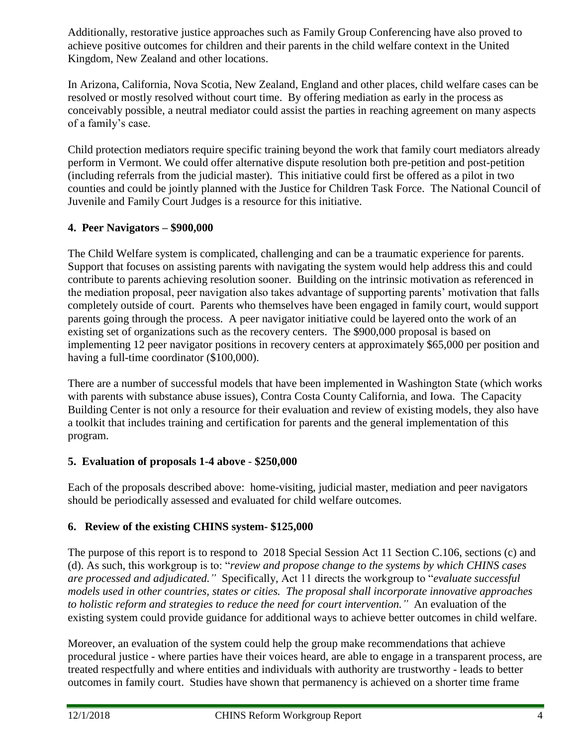Additionally, restorative justice approaches such as Family Group Conferencing have also proved to achieve positive outcomes for children and their parents in the child welfare context in the United Kingdom, New Zealand and other locations.

In Arizona, California, Nova Scotia, New Zealand, England and other places, child welfare cases can be resolved or mostly resolved without court time. By offering mediation as early in the process as conceivably possible, a neutral mediator could assist the parties in reaching agreement on many aspects of a family's case.

Child protection mediators require specific training beyond the work that family court mediators already perform in Vermont. We could offer alternative dispute resolution both pre-petition and post-petition (including referrals from the judicial master). This initiative could first be offered as a pilot in two counties and could be jointly planned with the Justice for Children Task Force. The National Council of Juvenile and Family Court Judges is a resource for this initiative.

# **4. Peer Navigators – \$900,000**

The Child Welfare system is complicated, challenging and can be a traumatic experience for parents. Support that focuses on assisting parents with navigating the system would help address this and could contribute to parents achieving resolution sooner. Building on the intrinsic motivation as referenced in the mediation proposal, peer navigation also takes advantage of supporting parents' motivation that falls completely outside of court. Parents who themselves have been engaged in family court, would support parents going through the process. A peer navigator initiative could be layered onto the work of an existing set of organizations such as the recovery centers. The \$900,000 proposal is based on implementing 12 peer navigator positions in recovery centers at approximately \$65,000 per position and having a full-time coordinator (\$100,000).

There are a number of successful models that have been implemented in Washington State (which works with parents with substance abuse issues), Contra Costa County California, and Iowa. The Capacity Building Center is not only a resource for their evaluation and review of existing models, they also have a toolkit that includes training and certification for parents and the general implementation of this program.

# **5. Evaluation of proposals 1-4 above** - **\$250,000**

Each of the proposals described above: home-visiting, judicial master, mediation and peer navigators should be periodically assessed and evaluated for child welfare outcomes.

# **6. Review of the existing CHINS system- \$125,000**

The purpose of this report is to respond to 2018 Special Session Act 11 Section C.106, sections (c) and (d). As such, this workgroup is to: "*review and propose change to the systems by which CHINS cases are processed and adjudicated."* Specifically, Act 11 directs the workgroup to "*evaluate successful models used in other countries, states or cities. The proposal shall incorporate innovative approaches to holistic reform and strategies to reduce the need for court intervention."* An evaluation of the existing system could provide guidance for additional ways to achieve better outcomes in child welfare.

Moreover, an evaluation of the system could help the group make recommendations that achieve procedural justice - where parties have their voices heard, are able to engage in a transparent process, are treated respectfully and where entities and individuals with authority are trustworthy - leads to better outcomes in family court. Studies have shown that permanency is achieved on a shorter time frame